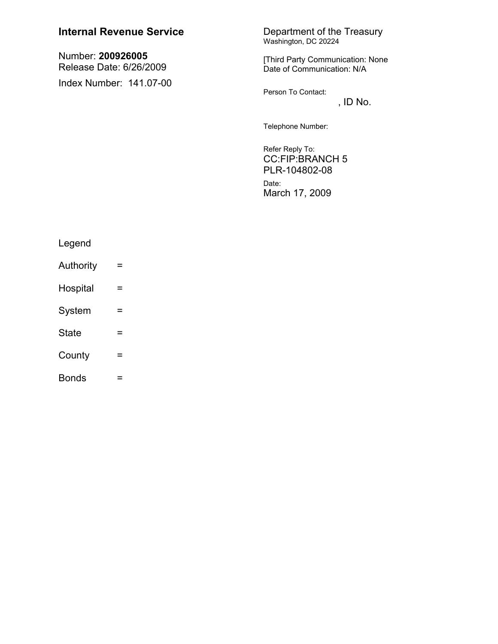| <b>Internal Revenue Service</b>              | Department of the Treasury<br>Washington, DC 20224             |  |
|----------------------------------------------|----------------------------------------------------------------|--|
| Number: 200926005<br>Release Date: 6/26/2009 | [Third Party Communication: None<br>Date of Communication: N/A |  |
| Index Number: 141.07-00                      | Person To Contact:<br>, ID No.                                 |  |
|                                              | Telephone Number:                                              |  |
|                                              | Refer Reply To:<br><b>CC:FIP:BRANCH 5</b><br>PLR-104802-08     |  |

<sub>Date:</sub><br>March 17, 2009

## Legend

Authority = Hospital  $\equiv$ System  $\equiv$ State  $\equiv$ County  $\equiv$ **Bonds**  $=$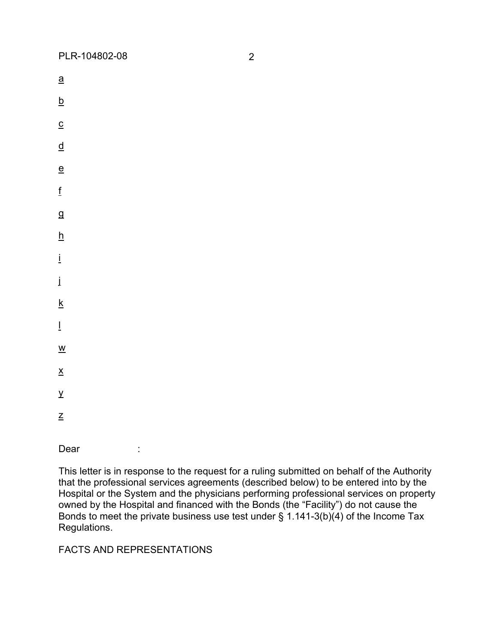| $\underline{a}$                 |  |  |
|---------------------------------|--|--|
| $\overline{\mathsf{p}}$         |  |  |
| $\overline{c}$                  |  |  |
| $\overline{q}$                  |  |  |
| $\overline{e}$                  |  |  |
| $\underline{\mathbf{f}}$        |  |  |
| $\overline{a}$                  |  |  |
| $\overline{\mathsf{h}}$         |  |  |
| $\mathbf{i}$                    |  |  |
| $\dot{I}$                       |  |  |
| $\frac{\mathsf{k}}{\mathsf{k}}$ |  |  |
| $\overline{1}$                  |  |  |
| $\frac{w}{2}$                   |  |  |
| $\frac{\mathsf{x}}{\mathsf{y}}$ |  |  |
|                                 |  |  |
| $\frac{y}{z}$                   |  |  |
|                                 |  |  |

Dear :

This letter is in response to the request for a ruling submitted on behalf of the Authority that the professional services agreements (described below) to be entered into by the Hospital or the System and the physicians performing professional services on property owned by the Hospital and financed with the Bonds (the "Facility") do not cause the Bonds to meet the private business use test under  $\hat{S}$  1.141-3(b)(4) of the Income Tax Regulations.

## FACTS AND REPRESENTATIONS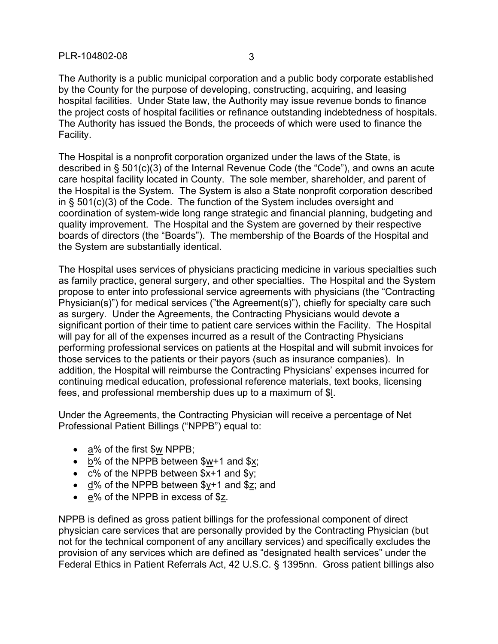The Authority is a public municipal corporation and a public body corporate established by the County for the purpose of developing, constructing, acquiring, and leasing hospital facilities. Under State law, the Authority may issue revenue bonds to finance the project costs of hospital facilities or refinance outstanding indebtedness of hospitals. The Authority has issued the Bonds, the proceeds of which were used to finance the Facility.

The Hospital is a nonprofit corporation organized under the laws of the State, is described in § 501(c)(3) of the Internal Revenue Code (the "Code"), and owns an acute care hospital facility located in County. The sole member, shareholder, and parent of the Hospital is the System. The System is also a State nonprofit corporation described in § 501(c)(3) of the Code. The function of the System includes oversight and coordination of system-wide long range strategic and financial planning, budgeting and quality improvement. The Hospital and the System are governed by their respective boards of directors (the "Boards"). The membership of the Boards of the Hospital and the System are substantially identical.

The Hospital uses services of physicians practicing medicine in various specialties such as family practice, general surgery, and other specialties. The Hospital and the System propose to enter into professional service agreements with physicians (the "Contracting Physician(s)") for medical services ("the Agreement(s)"), chiefly for specialty care such as surgery. Under the Agreements, the Contracting Physicians would devote a significant portion of their time to patient care services within the Facility. The Hospital will pay for all of the expenses incurred as a result of the Contracting Physicians performing professional services on patients at the Hospital and will submit invoices for those services to the patients or their payors (such as insurance companies). In addition, the Hospital will reimburse the Contracting Physicians' expenses incurred for continuing medical education, professional reference materials, text books, licensing fees, and professional membership dues up to a maximum of \$l.

Under the Agreements, the Contracting Physician will receive a percentage of Net Professional Patient Billings ("NPPB") equal to:

- a% of the first \$w NPPB;
- · b% of the NPPB between \$w+1 and \$x;
- · c% of the NPPB between \$x+1 and \$y;
- · d% of the NPPB between \$y+1 and \$z; and
- · e% of the NPPB in excess of \$z.

NPPB is defined as gross patient billings for the professional component of direct physician care services that are personally provided by the Contracting Physician (but not for the technical component of any ancillary services) and specifically excludes the provision of any services which are defined as "designated health services" under the Federal Ethics in Patient Referrals Act, 42 U.S.C. § 1395nn. Gross patient billings also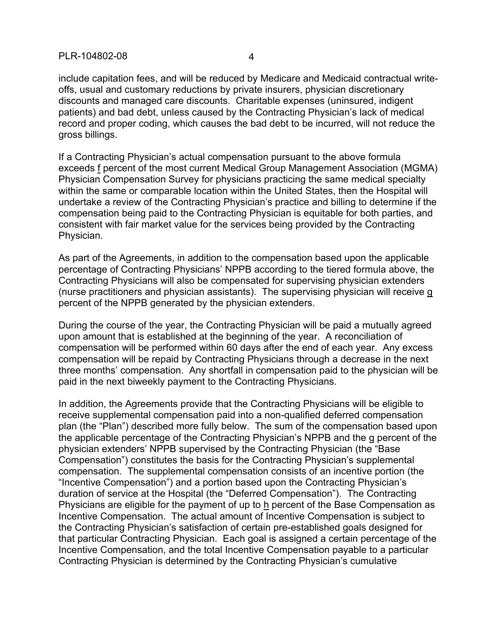include capitation fees, and will be reduced by Medicare and Medicaid contractual writeoffs, usual and customary reductions by private insurers, physician discretionary discounts and managed care discounts. Charitable expenses (uninsured, indigent patients) and bad debt, unless caused by the Contracting Physician's lack of medical record and proper coding, which causes the bad debt to be incurred, will not reduce the gross billings.

If a Contracting Physician's actual compensation pursuant to the above formula exceeds f percent of the most current Medical Group Management Association (MGMA) Physician Compensation Survey for physicians practicing the same medical specialty within the same or comparable location within the United States, then the Hospital will undertake a review of the Contracting Physician's practice and billing to determine if the compensation being paid to the Contracting Physician is equitable for both parties, and consistent with fair market value for the services being provided by the Contracting Physician.

As part of the Agreements, in addition to the compensation based upon the applicable percentage of Contracting Physicians' NPPB according to the tiered formula above, the Contracting Physicians will also be compensated for supervising physician extenders (nurse practitioners and physician assistants). The supervising physician will receive g percent of the NPPB generated by the physician extenders.

During the course of the year, the Contracting Physician will be paid a mutually agreed upon amount that is established at the beginning of the year. A reconciliation of compensation will be performed within 60 days after the end of each year. Any excess compensation will be repaid by Contracting Physicians through a decrease in the next three months' compensation. Any shortfall in compensation paid to the physician will be paid in the next biweekly payment to the Contracting Physicians.

In addition, the Agreements provide that the Contracting Physicians will be eligible to receive supplemental compensation paid into a non-qualified deferred compensation plan (the "Plan") described more fully below. The sum of the compensation based upon the applicable percentage of the Contracting Physician's NPPB and the g percent of the physician extenders' NPPB supervised by the Contracting Physician (the "Base Compensation") constitutes the basis for the Contracting Physician's supplemental compensation. The supplemental compensation consists of an incentive portion (the "Incentive Compensation") and a portion based upon the Contracting Physician's duration of service at the Hospital (the "Deferred Compensation"). The Contracting Physicians are eligible for the payment of up to h percent of the Base Compensation as Incentive Compensation. The actual amount of Incentive Compensation is subject to the Contracting Physician's satisfaction of certain pre-established goals designed for that particular Contracting Physician. Each goal is assigned a certain percentage of the Incentive Compensation, and the total Incentive Compensation payable to a particular Contracting Physician is determined by the Contracting Physician's cumulative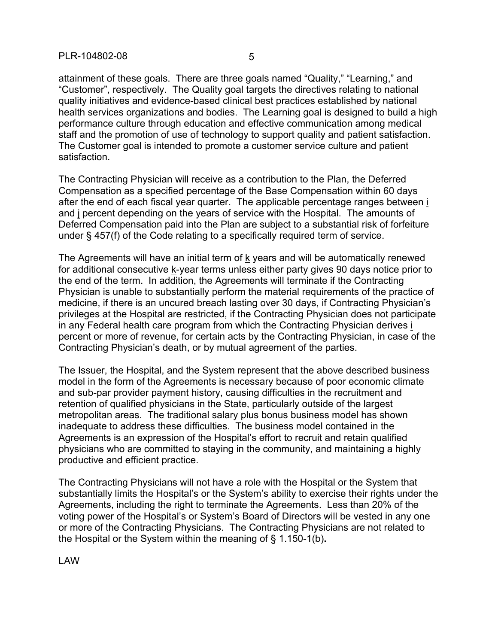attainment of these goals. There are three goals named "Quality," "Learning," and "Customer", respectively. The Quality goal targets the directives relating to national quality initiatives and evidence-based clinical best practices established by national health services organizations and bodies. The Learning goal is designed to build a high performance culture through education and effective communication among medical staff and the promotion of use of technology to support quality and patient satisfaction. The Customer goal is intended to promote a customer service culture and patient satisfaction.

The Contracting Physician will receive as a contribution to the Plan, the Deferred Compensation as a specified percentage of the Base Compensation within 60 days after the end of each fiscal year quarter. The applicable percentage ranges between i and j percent depending on the years of service with the Hospital. The amounts of Deferred Compensation paid into the Plan are subject to a substantial risk of forfeiture under § 457(f) of the Code relating to a specifically required term of service.

The Agreements will have an initial term of  $k$  years and will be automatically renewed for additional consecutive k-year terms unless either party gives 90 days notice prior to the end of the term. In addition, the Agreements will terminate if the Contracting Physician is unable to substantially perform the material requirements of the practice of medicine, if there is an uncured breach lasting over 30 days, if Contracting Physician's privileges at the Hospital are restricted, if the Contracting Physician does not participate in any Federal health care program from which the Contracting Physician derives i percent or more of revenue, for certain acts by the Contracting Physician, in case of the Contracting Physician's death, or by mutual agreement of the parties.

The Issuer, the Hospital, and the System represent that the above described business model in the form of the Agreements is necessary because of poor economic climate and sub-par provider payment history, causing difficulties in the recruitment and retention of qualified physicians in the State, particularly outside of the largest metropolitan areas. The traditional salary plus bonus business model has shown inadequate to address these difficulties. The business model contained in the Agreements is an expression of the Hospital's effort to recruit and retain qualified physicians who are committed to staying in the community, and maintaining a highly productive and efficient practice.

The Contracting Physicians will not have a role with the Hospital or the System that substantially limits the Hospital's or the System's ability to exercise their rights under the Agreements, including the right to terminate the Agreements. Less than 20% of the voting power of the Hospital's or System's Board of Directors will be vested in any one or more of the Contracting Physicians. The Contracting Physicians are not related to the Hospital or the System within the meaning of § 1.150-1(b)**.**

LAW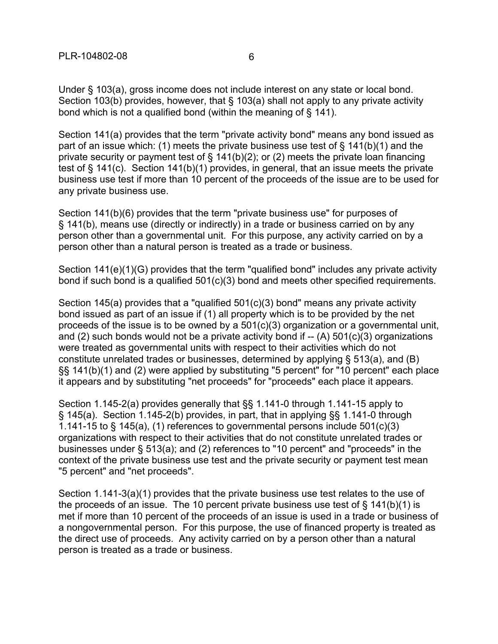Under § 103(a), gross income does not include interest on any state or local bond. Section 103(b) provides, however, that § 103(a) shall not apply to any private activity bond which is not a qualified bond (within the meaning of § 141).

Section 141(a) provides that the term "private activity bond" means any bond issued as part of an issue which: (1) meets the private business use test of § 141(b)(1) and the private security or payment test of § 141(b)(2); or (2) meets the private loan financing test of § 141(c). Section 141(b)(1) provides, in general, that an issue meets the private business use test if more than 10 percent of the proceeds of the issue are to be used for any private business use.

Section 141(b)(6) provides that the term "private business use" for purposes of § 141(b), means use (directly or indirectly) in a trade or business carried on by any person other than a governmental unit. For this purpose, any activity carried on by a person other than a natural person is treated as a trade or business.

Section 141(e)(1)(G) provides that the term "qualified bond" includes any private activity bond if such bond is a qualified 501(c)(3) bond and meets other specified requirements.

Section 145(a) provides that a "qualified 501(c)(3) bond" means any private activity bond issued as part of an issue if (1) all property which is to be provided by the net proceeds of the issue is to be owned by a 501(c)(3) organization or a governmental unit, and (2) such bonds would not be a private activity bond if -- (A) 501(c)(3) organizations were treated as governmental units with respect to their activities which do not constitute unrelated trades or businesses, determined by applying § 513(a), and (B) §§ 141(b)(1) and (2) were applied by substituting "5 percent" for "10 percent" each place it appears and by substituting "net proceeds" for "proceeds" each place it appears.

Section 1.145-2(a) provides generally that §§ 1.141-0 through 1.141-15 apply to § 145(a). Section 1.145-2(b) provides, in part, that in applying §§ 1.141-0 through 1.141-15 to § 145(a), (1) references to governmental persons include 501(c)(3) organizations with respect to their activities that do not constitute unrelated trades or businesses under § 513(a); and (2) references to "10 percent" and "proceeds" in the context of the private business use test and the private security or payment test mean "5 percent" and "net proceeds".

Section 1.141-3(a)(1) provides that the private business use test relates to the use of the proceeds of an issue. The 10 percent private business use test of  $\S$  141(b)(1) is met if more than 10 percent of the proceeds of an issue is used in a trade or business of a nongovernmental person. For this purpose, the use of financed property is treated as the direct use of proceeds. Any activity carried on by a person other than a natural person is treated as a trade or business.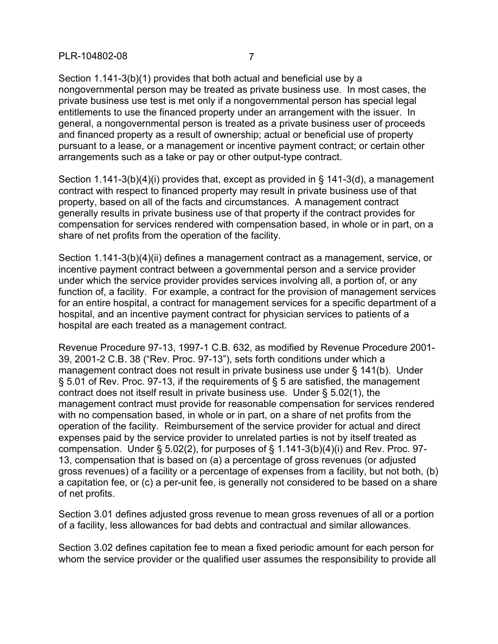## PLR-104802-08 7

Section 1.141-3(b)(1) provides that both actual and beneficial use by a nongovernmental person may be treated as private business use. In most cases, the private business use test is met only if a nongovernmental person has special legal entitlements to use the financed property under an arrangement with the issuer. In general, a nongovernmental person is treated as a private business user of proceeds and financed property as a result of ownership; actual or beneficial use of property pursuant to a lease, or a management or incentive payment contract; or certain other arrangements such as a take or pay or other output-type contract.

Section 1.141-3(b)(4)(i) provides that, except as provided in § 141-3(d), a management contract with respect to financed property may result in private business use of that property, based on all of the facts and circumstances. A management contract generally results in private business use of that property if the contract provides for compensation for services rendered with compensation based, in whole or in part, on a share of net profits from the operation of the facility.

Section 1.141-3(b)(4)(ii) defines a management contract as a management, service, or incentive payment contract between a governmental person and a service provider under which the service provider provides services involving all, a portion of, or any function of, a facility. For example, a contract for the provision of management services for an entire hospital, a contract for management services for a specific department of a hospital, and an incentive payment contract for physician services to patients of a hospital are each treated as a management contract.

Revenue Procedure 97-13, 1997-1 C.B. 632, as modified by Revenue Procedure 2001- 39, 2001-2 C.B. 38 ("Rev. Proc. 97-13"), sets forth conditions under which a management contract does not result in private business use under § 141(b). Under § 5.01 of Rev. Proc. 97-13, if the requirements of § 5 are satisfied, the management contract does not itself result in private business use. Under § 5.02(1), the management contract must provide for reasonable compensation for services rendered with no compensation based, in whole or in part, on a share of net profits from the operation of the facility. Reimbursement of the service provider for actual and direct expenses paid by the service provider to unrelated parties is not by itself treated as compensation. Under § 5.02(2), for purposes of § 1.141-3(b)(4)(i) and Rev. Proc. 97-13, compensation that is based on (a) a percentage of gross revenues (or adjusted gross revenues) of a facility or a percentage of expenses from a facility, but not both, (b) a capitation fee, or (c) a per-unit fee, is generally not considered to be based on a share of net profits.

Section 3.01 defines adjusted gross revenue to mean gross revenues of all or a portion of a facility, less allowances for bad debts and contractual and similar allowances.

Section 3.02 defines capitation fee to mean a fixed periodic amount for each person for whom the service provider or the qualified user assumes the responsibility to provide all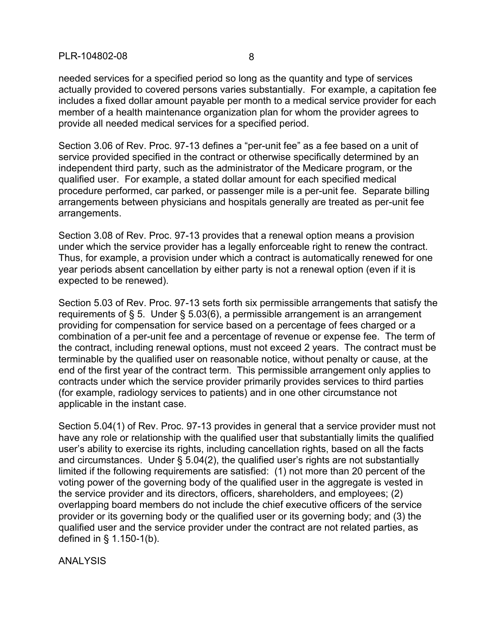needed services for a specified period so long as the quantity and type of services actually provided to covered persons varies substantially. For example, a capitation fee includes a fixed dollar amount payable per month to a medical service provider for each member of a health maintenance organization plan for whom the provider agrees to provide all needed medical services for a specified period.

Section 3.06 of Rev. Proc. 97-13 defines a "per-unit fee" as a fee based on a unit of service provided specified in the contract or otherwise specifically determined by an independent third party, such as the administrator of the Medicare program, or the qualified user. For example, a stated dollar amount for each specified medical procedure performed, car parked, or passenger mile is a per-unit fee. Separate billing arrangements between physicians and hospitals generally are treated as per-unit fee arrangements.

Section 3.08 of Rev. Proc. 97-13 provides that a renewal option means a provision under which the service provider has a legally enforceable right to renew the contract. Thus, for example, a provision under which a contract is automatically renewed for one year periods absent cancellation by either party is not a renewal option (even if it is expected to be renewed).

Section 5.03 of Rev. Proc. 97-13 sets forth six permissible arrangements that satisfy the requirements of § 5. Under § 5.03(6), a permissible arrangement is an arrangement providing for compensation for service based on a percentage of fees charged or a combination of a per-unit fee and a percentage of revenue or expense fee. The term of the contract, including renewal options, must not exceed 2 years. The contract must be terminable by the qualified user on reasonable notice, without penalty or cause, at the end of the first year of the contract term. This permissible arrangement only applies to contracts under which the service provider primarily provides services to third parties (for example, radiology services to patients) and in one other circumstance not applicable in the instant case.

Section 5.04(1) of Rev. Proc. 97-13 provides in general that a service provider must not have any role or relationship with the qualified user that substantially limits the qualified user's ability to exercise its rights, including cancellation rights, based on all the facts and circumstances. Under § 5.04(2), the qualified user's rights are not substantially limited if the following requirements are satisfied: (1) not more than 20 percent of the voting power of the governing body of the qualified user in the aggregate is vested in the service provider and its directors, officers, shareholders, and employees; (2) overlapping board members do not include the chief executive officers of the service provider or its governing body or the qualified user or its governing body; and (3) the qualified user and the service provider under the contract are not related parties, as defined in § 1.150-1(b).

ANALYSIS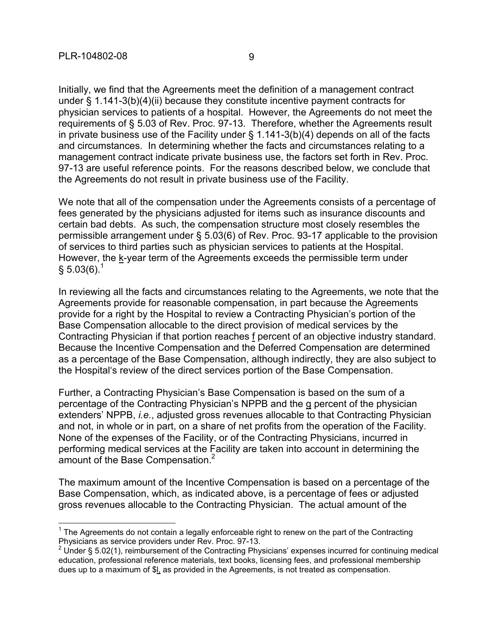Initially, we find that the Agreements meet the definition of a management contract under § 1.141-3(b)(4)(ii) because they constitute incentive payment contracts for physician services to patients of a hospital. However, the Agreements do not meet the requirements of § 5.03 of Rev. Proc. 97-13. Therefore, whether the Agreements result in private business use of the Facility under § 1.141-3(b)(4) depends on all of the facts and circumstances. In determining whether the facts and circumstances relating to a management contract indicate private business use, the factors set forth in Rev. Proc. 97-13 are useful reference points. For the reasons described below, we conclude that the Agreements do not result in private business use of the Facility.

We note that all of the compensation under the Agreements consists of a percentage of fees generated by the physicians adjusted for items such as insurance discounts and certain bad debts. As such, the compensation structure most closely resembles the permissible arrangement under § 5.03(6) of Rev. Proc. 93-17 applicable to the provision of services to third parties such as physician services to patients at the Hospital. However, the k-year term of the Agreements exceeds the permissible term under  $§ 5.03(6).$ <sup>1</sup>

In reviewing all the facts and circumstances relating to the Agreements, we note that the Agreements provide for reasonable compensation, in part because the Agreements provide for a right by the Hospital to review a Contracting Physician's portion of the Base Compensation allocable to the direct provision of medical services by the Contracting Physician if that portion reaches f percent of an objective industry standard. Because the Incentive Compensation and the Deferred Compensation are determined as a percentage of the Base Compensation, although indirectly, they are also subject to the Hospital's review of the direct services portion of the Base Compensation.

Further, a Contracting Physician's Base Compensation is based on the sum of a percentage of the Contracting Physician's NPPB and the g percent of the physician extenders' NPPB, *i.e.*, adjusted gross revenues allocable to that Contracting Physician and not, in whole or in part, on a share of net profits from the operation of the Facility. None of the expenses of the Facility, or of the Contracting Physicians, incurred in performing medical services at the Facility are taken into account in determining the amount of the Base Compensation.<sup>2</sup>

The maximum amount of the Incentive Compensation is based on a percentage of the Base Compensation, which, as indicated above, is a percentage of fees or adjusted gross revenues allocable to the Contracting Physician. The actual amount of the

 $1$  The Agreements do not contain a legally enforceable right to renew on the part of the Contracting Physicians as service providers under Rev. Proc. 97-13.

 $2$  Under § 5.02(1), reimbursement of the Contracting Physicians' expenses incurred for continuing medical education, professional reference materials, text books, licensing fees, and professional membership dues up to a maximum of \$l, as provided in the Agreements, is not treated as compensation.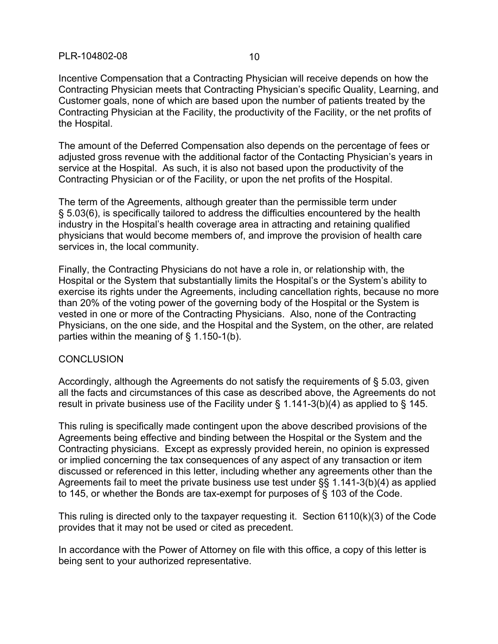Incentive Compensation that a Contracting Physician will receive depends on how the Contracting Physician meets that Contracting Physician's specific Quality, Learning, and Customer goals, none of which are based upon the number of patients treated by the Contracting Physician at the Facility, the productivity of the Facility, or the net profits of the Hospital.

The amount of the Deferred Compensation also depends on the percentage of fees or adjusted gross revenue with the additional factor of the Contacting Physician's years in service at the Hospital. As such, it is also not based upon the productivity of the Contracting Physician or of the Facility, or upon the net profits of the Hospital.

The term of the Agreements, although greater than the permissible term under § 5.03(6), is specifically tailored to address the difficulties encountered by the health industry in the Hospital's health coverage area in attracting and retaining qualified physicians that would become members of, and improve the provision of health care services in, the local community.

Finally, the Contracting Physicians do not have a role in, or relationship with, the Hospital or the System that substantially limits the Hospital's or the System's ability to exercise its rights under the Agreements, including cancellation rights, because no more than 20% of the voting power of the governing body of the Hospital or the System is vested in one or more of the Contracting Physicians. Also, none of the Contracting Physicians, on the one side, and the Hospital and the System, on the other, are related parties within the meaning of § 1.150-1(b).

## **CONCLUSION**

Accordingly, although the Agreements do not satisfy the requirements of § 5.03, given all the facts and circumstances of this case as described above, the Agreements do not result in private business use of the Facility under § 1.141-3(b)(4) as applied to § 145.

This ruling is specifically made contingent upon the above described provisions of the Agreements being effective and binding between the Hospital or the System and the Contracting physicians. Except as expressly provided herein, no opinion is expressed or implied concerning the tax consequences of any aspect of any transaction or item discussed or referenced in this letter, including whether any agreements other than the Agreements fail to meet the private business use test under §§ 1.141-3(b)(4) as applied to 145, or whether the Bonds are tax-exempt for purposes of § 103 of the Code.

This ruling is directed only to the taxpayer requesting it. Section 6110(k)(3) of the Code provides that it may not be used or cited as precedent.

In accordance with the Power of Attorney on file with this office, a copy of this letter is being sent to your authorized representative.